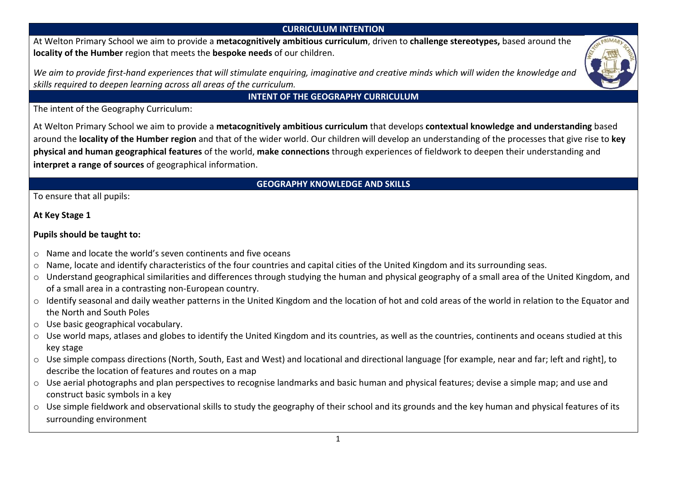## **CURRICULUM INTENTION**

At Welton Primary School we aim to provide a **metacognitively ambitious curriculum**, driven to **challenge stereotypes,** based around the **locality of the Humber** region that meets the **bespoke needs** of our children.

We aim to provide first-hand experiences that will stimulate enquiring, imaginative and creative minds which will widen the knowledge and *skills required to deepen learning across all areas of the curriculum.* 



## **INTENT OF THE GEOGRAPHY CURRICULUM**

The intent of the Geography Curriculum:

At Welton Primary School we aim to provide a **metacognitively ambitious curriculum** that develops **contextual knowledge and understanding** based around the **locality of the Humber region** and that of the wider world. Our children will develop an understanding of the processes that give rise to **key physical and human geographical features** of the world, **make connections** through experiences of fieldwork to deepen their understanding and **interpret a range of sources** of geographical information.

## **GEOGRAPHY KNOWLEDGE AND SKILLS**

To ensure that all pupils:

**At Key Stage 1**

## **Pupils should be taught to:**

- o Name and locate the world's seven continents and five oceans
- o Name, locate and identify characteristics of the four countries and capital cities of the United Kingdom and its surrounding seas.
- o Understand geographical similarities and differences through studying the human and physical geography of a small area of the United Kingdom, and of a small area in a contrasting non-European country.
- o Identify seasonal and daily weather patterns in the United Kingdom and the location of hot and cold areas of the world in relation to the Equator and the North and South Poles
- o Use basic geographical vocabulary.
- $\circ$  Use world maps, atlases and globes to identify the United Kingdom and its countries, as well as the countries, continents and oceans studied at this key stage
- $\circ$  Use simple compass directions (North, South, East and West) and locational and directional language [for example, near and far; left and right], to describe the location of features and routes on a map
- o Use aerial photographs and plan perspectives to recognise landmarks and basic human and physical features; devise a simple map; and use and construct basic symbols in a key
- o Use simple fieldwork and observational skills to study the geography of their school and its grounds and the key human and physical features of its surrounding environment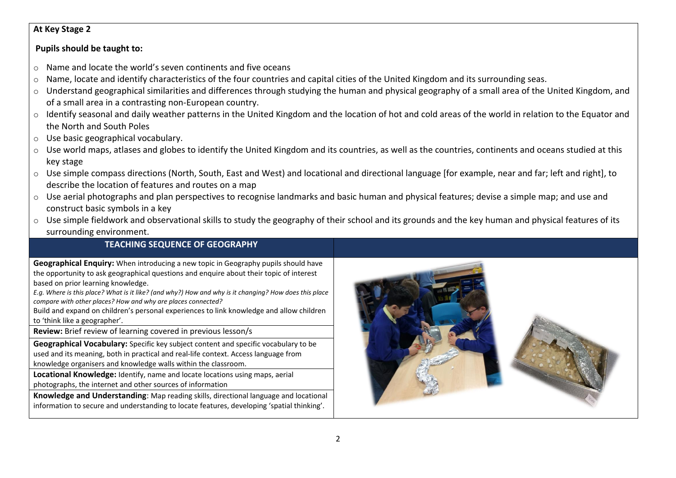#### **At Key Stage 2**

#### **Pupils should be taught to:**

- o Name and locate the world's seven continents and five oceans
- $\circ$  Name, locate and identify characteristics of the four countries and capital cities of the United Kingdom and its surrounding seas.
- o Understand geographical similarities and differences through studying the human and physical geography of a small area of the United Kingdom, and of a small area in a contrasting non-European country.
- o Identify seasonal and daily weather patterns in the United Kingdom and the location of hot and cold areas of the world in relation to the Equator and the North and South Poles
- o Use basic geographical vocabulary.
- $\circ$  Use world maps, atlases and globes to identify the United Kingdom and its countries, as well as the countries, continents and oceans studied at this key stage
- o Use simple compass directions (North, South, East and West) and locational and directional language [for example, near and far; left and right], to describe the location of features and routes on a map
- o Use aerial photographs and plan perspectives to recognise landmarks and basic human and physical features; devise a simple map; and use and construct basic symbols in a key
- $\circ$  Use simple fieldwork and observational skills to study the geography of their school and its grounds and the key human and physical features of its surrounding environment.

## **TEACHING SEQUENCE OF GEOGRAPHY**

**Geographical Enquiry:** When introducing a new topic in Geography pupils should have the opportunity to ask geographical questions and enquire about their topic of interest based on prior learning knowledge.

*E.g. Where is this place? What is it like? (and why?) How and why is it changing? How does this place compare with other places? How and why are places connected?*

Build and expand on children's personal experiences to link knowledge and allow children to 'think like a geographer'.

**Review:** Brief review of learning covered in previous lesson/s

**Geographical Vocabulary:** Specific key subject content and specific vocabulary to be used and its meaning, both in practical and real-life context. Access language from knowledge organisers and knowledge walls within the classroom.

**Locational Knowledge:** Identify, name and locate locations using maps, aerial photographs, the internet and other sources of information

**Knowledge and Understanding**: Map reading skills, directional language and locational information to secure and understanding to locate features, developing 'spatial thinking'.

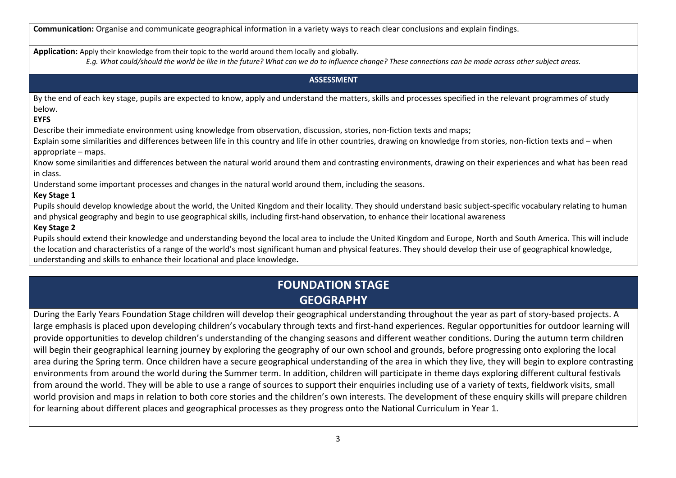**Communication:** Organise and communicate geographical information in a variety ways to reach clear conclusions and explain findings.

**Application:** Apply their knowledge from their topic to the world around them locally and globally.

*E.g. What could/should the world be like in the future? What can we do to influence change? These connections can be made across other subject areas.* 

#### **ASSESSMENT**

By the end of each key stage, pupils are expected to know, apply and understand the matters, skills and processes specified in the relevant programmes of study below.

#### **EYFS**

Describe their immediate environment using knowledge from observation, discussion, stories, non-fiction texts and maps;

Explain some similarities and differences between life in this country and life in other countries, drawing on knowledge from stories, non-fiction texts and – when appropriate – maps.

Know some similarities and differences between the natural world around them and contrasting environments, drawing on their experiences and what has been read in class.

Understand some important processes and changes in the natural world around them, including the seasons.

#### **Key Stage 1**

Pupils should develop knowledge about the world, the United Kingdom and their locality. They should understand basic subject-specific vocabulary relating to human and physical geography and begin to use geographical skills, including first-hand observation, to enhance their locational awareness

#### **Key Stage 2**

Pupils should extend their knowledge and understanding beyond the local area to include the United Kingdom and Europe, North and South America. This will include the location and characteristics of a range of the world's most significant human and physical features. They should develop their use of geographical knowledge, understanding and skills to enhance their locational and place knowledge**.**

# **FOUNDATION STAGE GEOGRAPHY**

During the Early Years Foundation Stage children will develop their geographical understanding throughout the year as part of story-based projects. A large emphasis is placed upon developing children's vocabulary through texts and first-hand experiences. Regular opportunities for outdoor learning will provide opportunities to develop children's understanding of the changing seasons and different weather conditions. During the autumn term children will begin their geographical learning journey by exploring the geography of our own school and grounds, before progressing onto exploring the local area during the Spring term. Once children have a secure geographical understanding of the area in which they live, they will begin to explore contrasting environments from around the world during the Summer term. In addition, children will participate in theme days exploring different cultural festivals from around the world. They will be able to use a range of sources to support their enquiries including use of a variety of texts, fieldwork visits, small world provision and maps in relation to both core stories and the children's own interests. The development of these enquiry skills will prepare children for learning about different places and geographical processes as they progress onto the National Curriculum in Year 1.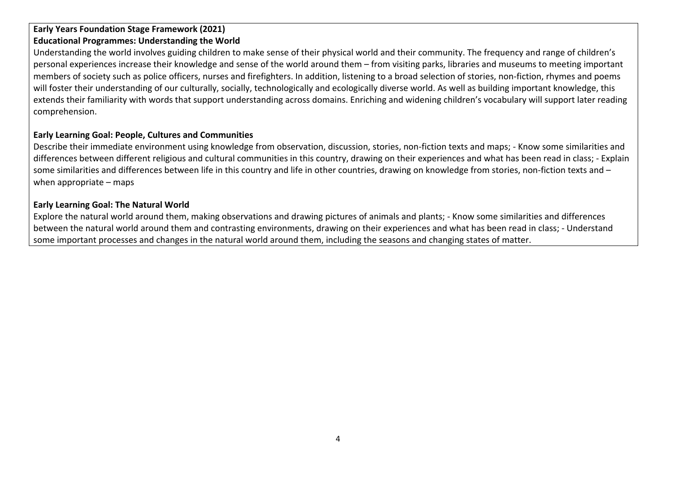## **Early Years Foundation Stage Framework (2021) Educational Programmes: Understanding the World**

Understanding the world involves guiding children to make sense of their physical world and their community. The frequency and range of children's personal experiences increase their knowledge and sense of the world around them – from visiting parks, libraries and museums to meeting important members of society such as police officers, nurses and firefighters. In addition, listening to a broad selection of stories, non-fiction, rhymes and poems will foster their understanding of our culturally, socially, technologically and ecologically diverse world. As well as building important knowledge, this extends their familiarity with words that support understanding across domains. Enriching and widening children's vocabulary will support later reading comprehension.

## **Early Learning Goal: People, Cultures and Communities**

Describe their immediate environment using knowledge from observation, discussion, stories, non-fiction texts and maps; - Know some similarities and differences between different religious and cultural communities in this country, drawing on their experiences and what has been read in class; - Explain some similarities and differences between life in this country and life in other countries, drawing on knowledge from stories, non-fiction texts and – when appropriate – maps

#### **Early Learning Goal: The Natural World**

Explore the natural world around them, making observations and drawing pictures of animals and plants; - Know some similarities and differences between the natural world around them and contrasting environments, drawing on their experiences and what has been read in class; - Understand some important processes and changes in the natural world around them, including the seasons and changing states of matter.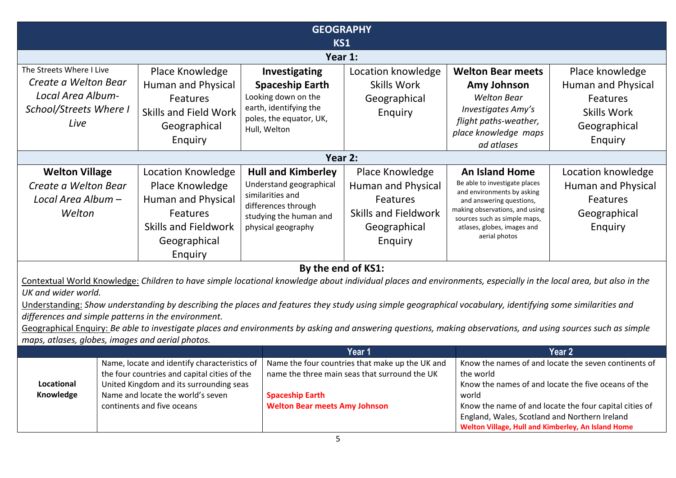|                                                  |                                                                                                                                                                  | <b>GEOGRAPHY</b>                            |                                                 |                                                                |                                                        |
|--------------------------------------------------|------------------------------------------------------------------------------------------------------------------------------------------------------------------|---------------------------------------------|-------------------------------------------------|----------------------------------------------------------------|--------------------------------------------------------|
|                                                  |                                                                                                                                                                  | KS1                                         |                                                 |                                                                |                                                        |
|                                                  |                                                                                                                                                                  | Year 1:                                     |                                                 |                                                                |                                                        |
| The Streets Where I Live                         | Place Knowledge                                                                                                                                                  | Investigating                               | Location knowledge                              | <b>Welton Bear meets</b>                                       | Place knowledge                                        |
| Create a Welton Bear                             | <b>Human and Physical</b>                                                                                                                                        | <b>Spaceship Earth</b>                      | <b>Skills Work</b>                              | Amy Johnson                                                    | Human and Physical                                     |
| Local Area Album-                                | Features                                                                                                                                                         | Looking down on the                         | Geographical                                    | <b>Welton Bear</b>                                             | Features                                               |
| School/Streets Where I                           | <b>Skills and Field Work</b>                                                                                                                                     | earth, identifying the                      | Enquiry                                         | Investigates Amy's                                             | <b>Skills Work</b>                                     |
| Live                                             | Geographical                                                                                                                                                     | poles, the equator, UK,<br>Hull, Welton     |                                                 | flight paths-weather,                                          | Geographical                                           |
|                                                  | Enquiry                                                                                                                                                          |                                             |                                                 | place knowledge maps                                           | Enquiry                                                |
|                                                  |                                                                                                                                                                  |                                             |                                                 | ad atlases                                                     |                                                        |
|                                                  |                                                                                                                                                                  | Year 2:                                     |                                                 |                                                                |                                                        |
| <b>Welton Village</b>                            | Location Knowledge                                                                                                                                               | <b>Hull and Kimberley</b>                   | Place Knowledge                                 | <b>An Island Home</b>                                          | Location knowledge                                     |
| Create a Welton Bear                             | Place Knowledge                                                                                                                                                  | Understand geographical<br>similarities and | <b>Human and Physical</b>                       | Be able to investigate places<br>and environments by asking    | <b>Human and Physical</b>                              |
| Local Area Album -                               | <b>Human and Physical</b>                                                                                                                                        | differences through                         | Features                                        | and answering questions,                                       | Features                                               |
| Welton                                           | Features                                                                                                                                                         | studying the human and                      | <b>Skills and Fieldwork</b>                     | making observations, and using<br>sources such as simple maps, | Geographical                                           |
|                                                  | <b>Skills and Fieldwork</b>                                                                                                                                      | physical geography                          | Geographical                                    | atlases, globes, images and                                    | Enquiry                                                |
|                                                  | Geographical                                                                                                                                                     |                                             | Enquiry                                         | aerial photos                                                  |                                                        |
|                                                  | Enquiry                                                                                                                                                          |                                             |                                                 |                                                                |                                                        |
| By the end of KS1:                               |                                                                                                                                                                  |                                             |                                                 |                                                                |                                                        |
|                                                  | Contextual World Knowledge: Children to have simple locational knowledge about individual places and environments, especially in the local area, but also in the |                                             |                                                 |                                                                |                                                        |
| UK and wider world.                              |                                                                                                                                                                  |                                             |                                                 |                                                                |                                                        |
|                                                  | Understanding: Show understanding by describing the places and features they study using simple geographical vocabulary, identifying some similarities and       |                                             |                                                 |                                                                |                                                        |
|                                                  | differences and simple patterns in the environment.                                                                                                              |                                             |                                                 |                                                                |                                                        |
|                                                  | Geographical Enquiry: Be able to investigate places and environments by asking and answering questions, making observations, and using sources such as simple    |                                             |                                                 |                                                                |                                                        |
| maps, atlases, globes, images and aerial photos. |                                                                                                                                                                  |                                             | Year 1                                          |                                                                | Year <sub>2</sub>                                      |
|                                                  | Name, locate and identify characteristics of                                                                                                                     |                                             | Name the four countries that make up the UK and |                                                                | Know the names of and locate the seven continents of   |
|                                                  | the four countries and capital cities of the                                                                                                                     |                                             | name the three main seas that surround the UK   | the world                                                      |                                                        |
| Locational                                       | United Kingdom and its surrounding seas                                                                                                                          |                                             |                                                 |                                                                | Know the names of and locate the five oceans of the    |
| Knowledge                                        | Name and locate the world's seven                                                                                                                                | <b>Spaceship Earth</b>                      |                                                 | world                                                          |                                                        |
|                                                  | continents and five oceans                                                                                                                                       | <b>Welton Bear meets Amy Johnson</b>        |                                                 | England, Wales, Scotland and Northern Ireland                  | Know the name of and locate the four capital cities of |
|                                                  |                                                                                                                                                                  |                                             |                                                 | Welton Village, Hull and Kimberley, An Island Home             |                                                        |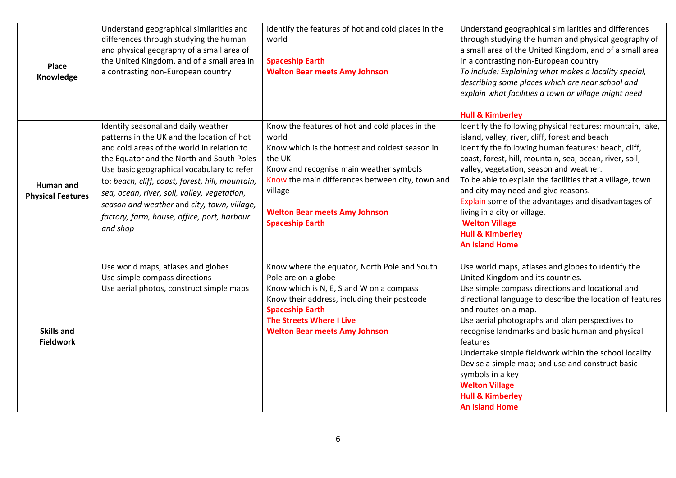| Place<br>Knowledge                    | Understand geographical similarities and<br>differences through studying the human<br>and physical geography of a small area of<br>the United Kingdom, and of a small area in<br>a contrasting non-European country                                                                                                                                                                                                                      | Identify the features of hot and cold places in the<br>world<br><b>Spaceship Earth</b><br><b>Welton Bear meets Amy Johnson</b>                                                                                                                                                                    | Understand geographical similarities and differences<br>through studying the human and physical geography of<br>a small area of the United Kingdom, and of a small area<br>in a contrasting non-European country<br>To include: Explaining what makes a locality special,<br>describing some places which are near school and<br>explain what facilities a town or village might need<br><b>Hull &amp; Kimberley</b>                                                                                                                                                  |
|---------------------------------------|------------------------------------------------------------------------------------------------------------------------------------------------------------------------------------------------------------------------------------------------------------------------------------------------------------------------------------------------------------------------------------------------------------------------------------------|---------------------------------------------------------------------------------------------------------------------------------------------------------------------------------------------------------------------------------------------------------------------------------------------------|-----------------------------------------------------------------------------------------------------------------------------------------------------------------------------------------------------------------------------------------------------------------------------------------------------------------------------------------------------------------------------------------------------------------------------------------------------------------------------------------------------------------------------------------------------------------------|
| Human and<br><b>Physical Features</b> | Identify seasonal and daily weather<br>patterns in the UK and the location of hot<br>and cold areas of the world in relation to<br>the Equator and the North and South Poles<br>Use basic geographical vocabulary to refer<br>to: beach, cliff, coast, forest, hill, mountain,<br>sea, ocean, river, soil, valley, vegetation,<br>season and weather and city, town, village,<br>factory, farm, house, office, port, harbour<br>and shop | Know the features of hot and cold places in the<br>world<br>Know which is the hottest and coldest season in<br>the UK<br>Know and recognise main weather symbols<br>Know the main differences between city, town and<br>village<br><b>Welton Bear meets Amy Johnson</b><br><b>Spaceship Earth</b> | Identify the following physical features: mountain, lake,<br>island, valley, river, cliff, forest and beach<br>Identify the following human features: beach, cliff,<br>coast, forest, hill, mountain, sea, ocean, river, soil,<br>valley, vegetation, season and weather.<br>To be able to explain the facilities that a village, town<br>and city may need and give reasons.<br>Explain some of the advantages and disadvantages of<br>living in a city or village.<br><b>Welton Village</b><br><b>Hull &amp; Kimberley</b><br><b>An Island Home</b>                 |
| <b>Skills and</b><br><b>Fieldwork</b> | Use world maps, atlases and globes<br>Use simple compass directions<br>Use aerial photos, construct simple maps                                                                                                                                                                                                                                                                                                                          | Know where the equator, North Pole and South<br>Pole are on a globe<br>Know which is N, E, S and W on a compass<br>Know their address, including their postcode<br><b>Spaceship Earth</b><br><b>The Streets Where I Live</b><br><b>Welton Bear meets Amy Johnson</b>                              | Use world maps, atlases and globes to identify the<br>United Kingdom and its countries.<br>Use simple compass directions and locational and<br>directional language to describe the location of features<br>and routes on a map.<br>Use aerial photographs and plan perspectives to<br>recognise landmarks and basic human and physical<br>features<br>Undertake simple fieldwork within the school locality<br>Devise a simple map; and use and construct basic<br>symbols in a key<br><b>Welton Village</b><br><b>Hull &amp; Kimberley</b><br><b>An Island Home</b> |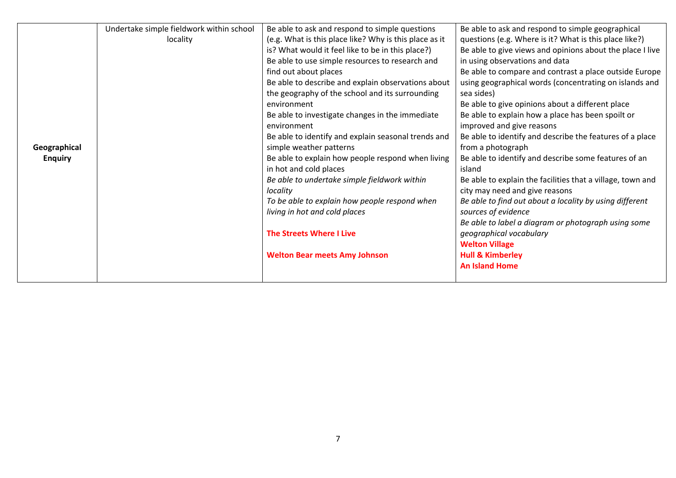|                | Undertake simple fieldwork within school | Be able to ask and respond to simple questions         | Be able to ask and respond to simple geographical          |
|----------------|------------------------------------------|--------------------------------------------------------|------------------------------------------------------------|
|                | locality                                 | (e.g. What is this place like? Why is this place as it | questions (e.g. Where is it? What is this place like?)     |
|                |                                          | is? What would it feel like to be in this place?)      | Be able to give views and opinions about the place I live  |
|                |                                          | Be able to use simple resources to research and        | in using observations and data                             |
|                |                                          | find out about places                                  | Be able to compare and contrast a place outside Europe     |
|                |                                          | Be able to describe and explain observations about     | using geographical words (concentrating on islands and     |
|                |                                          | the geography of the school and its surrounding        | sea sides)                                                 |
|                |                                          | environment                                            | Be able to give opinions about a different place           |
|                |                                          | Be able to investigate changes in the immediate        | Be able to explain how a place has been spoilt or          |
|                |                                          | environment                                            | improved and give reasons                                  |
|                |                                          | Be able to identify and explain seasonal trends and    | Be able to identify and describe the features of a place   |
| Geographical   |                                          | simple weather patterns                                | from a photograph                                          |
| <b>Enquiry</b> |                                          | Be able to explain how people respond when living      | Be able to identify and describe some features of an       |
|                |                                          | in hot and cold places                                 | island                                                     |
|                |                                          | Be able to undertake simple fieldwork within           | Be able to explain the facilities that a village, town and |
|                |                                          | locality                                               | city may need and give reasons                             |
|                |                                          | To be able to explain how people respond when          | Be able to find out about a locality by using different    |
|                |                                          | living in hot and cold places                          | sources of evidence                                        |
|                |                                          |                                                        | Be able to label a diagram or photograph using some        |
|                |                                          | <b>The Streets Where I Live</b>                        | geographical vocabulary                                    |
|                |                                          |                                                        | <b>Welton Village</b>                                      |
|                |                                          | <b>Welton Bear meets Amy Johnson</b>                   | <b>Hull &amp; Kimberley</b>                                |
|                |                                          |                                                        | <b>An Island Home</b>                                      |
|                |                                          |                                                        |                                                            |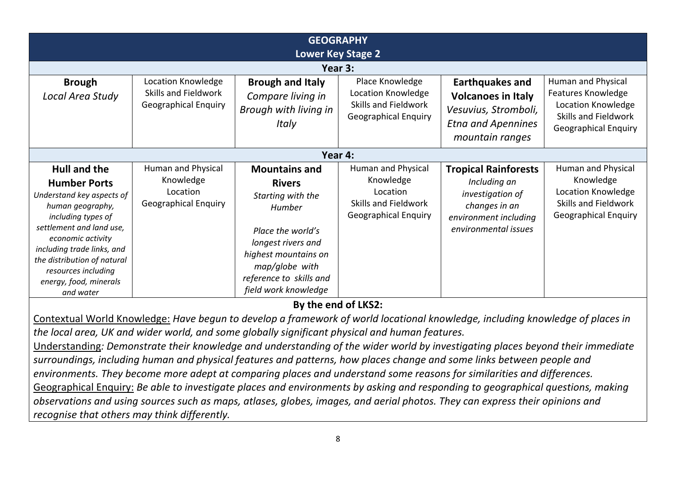| <b>GEOGRAPHY</b><br><b>Lower Key Stage 2</b>                                                                                                                                                                                                                                                  |                                                                            |                                                                                                                                                                                                                                     |                                                                                                    |                                                                                                                                   |                                                                                                                       |
|-----------------------------------------------------------------------------------------------------------------------------------------------------------------------------------------------------------------------------------------------------------------------------------------------|----------------------------------------------------------------------------|-------------------------------------------------------------------------------------------------------------------------------------------------------------------------------------------------------------------------------------|----------------------------------------------------------------------------------------------------|-----------------------------------------------------------------------------------------------------------------------------------|-----------------------------------------------------------------------------------------------------------------------|
|                                                                                                                                                                                                                                                                                               |                                                                            | Year 3:                                                                                                                                                                                                                             |                                                                                                    |                                                                                                                                   |                                                                                                                       |
| <b>Brough</b><br>Local Area Study                                                                                                                                                                                                                                                             | Location Knowledge<br>Skills and Fieldwork<br><b>Geographical Enquiry</b>  | <b>Brough and Italy</b><br>Compare living in<br>Brough with living in<br>Italy                                                                                                                                                      | Place Knowledge<br>Location Knowledge<br>Skills and Fieldwork<br><b>Geographical Enquiry</b>       | <b>Earthquakes and</b><br><b>Volcanoes in Italy</b><br>Vesuvius, Stromboli,<br><b>Etna and Apennines</b><br>mountain ranges       | Human and Physical<br>Features Knowledge<br>Location Knowledge<br>Skills and Fieldwork<br><b>Geographical Enquiry</b> |
| Year 4:                                                                                                                                                                                                                                                                                       |                                                                            |                                                                                                                                                                                                                                     |                                                                                                    |                                                                                                                                   |                                                                                                                       |
| <b>Hull and the</b><br><b>Humber Ports</b><br>Understand key aspects of<br>human geography,<br>including types of<br>settlement and land use,<br>economic activity<br>including trade links, and<br>the distribution of natural<br>resources including<br>energy, food, minerals<br>and water | Human and Physical<br>Knowledge<br>Location<br><b>Geographical Enquiry</b> | <b>Mountains and</b><br><b>Rivers</b><br>Starting with the<br>Humber<br>Place the world's<br>longest rivers and<br>highest mountains on<br>map/globe with<br>reference to skills and<br>field work knowledge<br>By the end of LKS2: | Human and Physical<br>Knowledge<br>Location<br>Skills and Fieldwork<br><b>Geographical Enquiry</b> | <b>Tropical Rainforests</b><br>Including an<br>investigation of<br>changes in an<br>environment including<br>environmental issues | Human and Physical<br>Knowledge<br>Location Knowledge<br>Skills and Fieldwork<br><b>Geographical Enquiry</b>          |
|                                                                                                                                                                                                                                                                                               |                                                                            | Contextual World Knowledge: Have begun to develop a framework of world locational knowledge, including knowledge of places in                                                                                                       |                                                                                                    |                                                                                                                                   |                                                                                                                       |

*the local area, UK and wider world, and some globally significant physical and human features.*

Understanding*: Demonstrate their knowledge and understanding of the wider world by investigating places beyond their immediate surroundings, including human and physical features and patterns, how places change and some links between people and environments. They become more adept at comparing places and understand some reasons for similarities and differences.* Geographical Enquiry: *Be able to investigate places and environments by asking and responding to geographical questions, making observations and using sources such as maps, atlases, globes, images, and aerial photos. They can express their opinions and recognise that others may think differently.*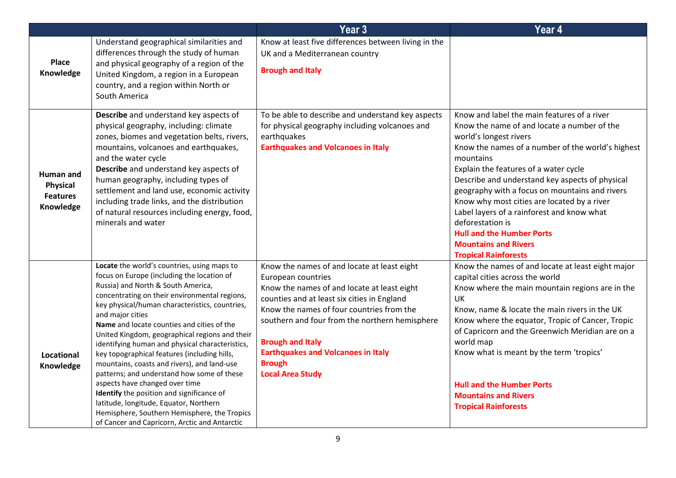|                                                              |                                                                                                                                                                                                                                                                                                                                                                                                                                                                                                                                                                                                                                                                                                                                                                                  | Year <sub>3</sub>                                                                                                                                                                                                                                                                                                                                                                  | Year 4                                                                                                                                                                                                                                                                                                                                                                                                                                                                                                                                                  |
|--------------------------------------------------------------|----------------------------------------------------------------------------------------------------------------------------------------------------------------------------------------------------------------------------------------------------------------------------------------------------------------------------------------------------------------------------------------------------------------------------------------------------------------------------------------------------------------------------------------------------------------------------------------------------------------------------------------------------------------------------------------------------------------------------------------------------------------------------------|------------------------------------------------------------------------------------------------------------------------------------------------------------------------------------------------------------------------------------------------------------------------------------------------------------------------------------------------------------------------------------|---------------------------------------------------------------------------------------------------------------------------------------------------------------------------------------------------------------------------------------------------------------------------------------------------------------------------------------------------------------------------------------------------------------------------------------------------------------------------------------------------------------------------------------------------------|
| Place<br>Knowledge                                           | Understand geographical similarities and<br>differences through the study of human<br>and physical geography of a region of the<br>United Kingdom, a region in a European<br>country, and a region within North or<br>South America                                                                                                                                                                                                                                                                                                                                                                                                                                                                                                                                              | Know at least five differences between living in the<br>UK and a Mediterranean country<br><b>Brough and Italy</b>                                                                                                                                                                                                                                                                  |                                                                                                                                                                                                                                                                                                                                                                                                                                                                                                                                                         |
| Human and<br><b>Physical</b><br><b>Features</b><br>Knowledge | Describe and understand key aspects of<br>physical geography, including: climate<br>zones, biomes and vegetation belts, rivers,<br>mountains, volcanoes and earthquakes,<br>and the water cycle<br>Describe and understand key aspects of<br>human geography, including types of<br>settlement and land use, economic activity<br>including trade links, and the distribution<br>of natural resources including energy, food,<br>minerals and water                                                                                                                                                                                                                                                                                                                              | To be able to describe and understand key aspects<br>for physical geography including volcanoes and<br>earthquakes<br><b>Earthquakes and Volcanoes in Italy</b>                                                                                                                                                                                                                    | Know and label the main features of a river<br>Know the name of and locate a number of the<br>world's longest rivers<br>Know the names of a number of the world's highest<br>mountains<br>Explain the features of a water cycle<br>Describe and understand key aspects of physical<br>geography with a focus on mountains and rivers<br>Know why most cities are located by a river<br>Label layers of a rainforest and know what<br>deforestation is<br><b>Hull and the Humber Ports</b><br><b>Mountains and Rivers</b><br><b>Tropical Rainforests</b> |
| Locational<br>Knowledge                                      | Locate the world's countries, using maps to<br>focus on Europe (including the location of<br>Russia) and North & South America,<br>concentrating on their environmental regions,<br>key physical/human characteristics, countries,<br>and major cities<br>Name and locate counties and cities of the<br>United Kingdom, geographical regions and their<br>identifying human and physical characteristics,<br>key topographical features (including hills,<br>mountains, coasts and rivers), and land-use<br>patterns; and understand how some of these<br>aspects have changed over time<br>Identify the position and significance of<br>latitude, longitude, Equator, Northern<br>Hemisphere, Southern Hemisphere, the Tropics<br>of Cancer and Capricorn, Arctic and Antarctic | Know the names of and locate at least eight<br>European countries<br>Know the names of and locate at least eight<br>counties and at least six cities in England<br>Know the names of four countries from the<br>southern and four from the northern hemisphere<br><b>Brough and Italy</b><br><b>Earthquakes and Volcanoes in Italy</b><br><b>Brough</b><br><b>Local Area Study</b> | Know the names of and locate at least eight major<br>capital cities across the world<br>Know where the main mountain regions are in the<br>UK<br>Know, name & locate the main rivers in the UK<br>Know where the equator, Tropic of Cancer, Tropic<br>of Capricorn and the Greenwich Meridian are on a<br>world map<br>Know what is meant by the term 'tropics'<br><b>Hull and the Humber Ports</b><br><b>Mountains and Rivers</b><br><b>Tropical Rainforests</b>                                                                                       |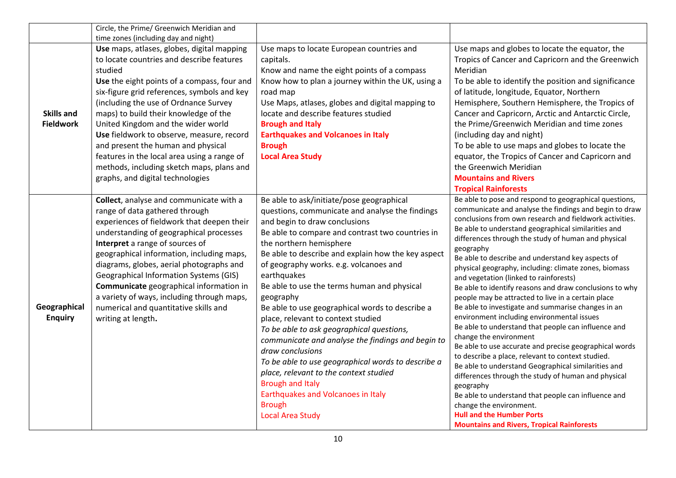|                                       | Circle, the Prime/ Greenwich Meridian and                                                                                                                                                                                                                                                                                                                                                                                                                                                                                                   |                                                                                                                                                                                                                                                                                                                                                                                                                                                                                                                                                                                                                                                                                                                                                                                                                     |                                                                                                                                                                                                                                                                                                                                                                                                                                                                                                                                                                                                                                                                                                                                                                                                                                                                                                                                                                                                                                                                                                                                                                                           |
|---------------------------------------|---------------------------------------------------------------------------------------------------------------------------------------------------------------------------------------------------------------------------------------------------------------------------------------------------------------------------------------------------------------------------------------------------------------------------------------------------------------------------------------------------------------------------------------------|---------------------------------------------------------------------------------------------------------------------------------------------------------------------------------------------------------------------------------------------------------------------------------------------------------------------------------------------------------------------------------------------------------------------------------------------------------------------------------------------------------------------------------------------------------------------------------------------------------------------------------------------------------------------------------------------------------------------------------------------------------------------------------------------------------------------|-------------------------------------------------------------------------------------------------------------------------------------------------------------------------------------------------------------------------------------------------------------------------------------------------------------------------------------------------------------------------------------------------------------------------------------------------------------------------------------------------------------------------------------------------------------------------------------------------------------------------------------------------------------------------------------------------------------------------------------------------------------------------------------------------------------------------------------------------------------------------------------------------------------------------------------------------------------------------------------------------------------------------------------------------------------------------------------------------------------------------------------------------------------------------------------------|
|                                       | time zones (including day and night)                                                                                                                                                                                                                                                                                                                                                                                                                                                                                                        |                                                                                                                                                                                                                                                                                                                                                                                                                                                                                                                                                                                                                                                                                                                                                                                                                     |                                                                                                                                                                                                                                                                                                                                                                                                                                                                                                                                                                                                                                                                                                                                                                                                                                                                                                                                                                                                                                                                                                                                                                                           |
| <b>Skills and</b><br><b>Fieldwork</b> | Use maps, atlases, globes, digital mapping<br>to locate countries and describe features<br>studied<br>Use the eight points of a compass, four and<br>six-figure grid references, symbols and key<br>(including the use of Ordnance Survey<br>maps) to build their knowledge of the<br>United Kingdom and the wider world<br>Use fieldwork to observe, measure, record<br>and present the human and physical<br>features in the local area using a range of<br>methods, including sketch maps, plans and<br>graphs, and digital technologies | Use maps to locate European countries and<br>capitals.<br>Know and name the eight points of a compass<br>Know how to plan a journey within the UK, using a<br>road map<br>Use Maps, atlases, globes and digital mapping to<br>locate and describe features studied<br><b>Brough and Italy</b><br><b>Earthquakes and Volcanoes in Italy</b><br><b>Brough</b><br><b>Local Area Study</b>                                                                                                                                                                                                                                                                                                                                                                                                                              | Use maps and globes to locate the equator, the<br>Tropics of Cancer and Capricorn and the Greenwich<br>Meridian<br>To be able to identify the position and significance<br>of latitude, longitude, Equator, Northern<br>Hemisphere, Southern Hemisphere, the Tropics of<br>Cancer and Capricorn, Arctic and Antarctic Circle,<br>the Prime/Greenwich Meridian and time zones<br>(including day and night)<br>To be able to use maps and globes to locate the<br>equator, the Tropics of Cancer and Capricorn and<br>the Greenwich Meridian<br><b>Mountains and Rivers</b>                                                                                                                                                                                                                                                                                                                                                                                                                                                                                                                                                                                                                 |
|                                       |                                                                                                                                                                                                                                                                                                                                                                                                                                                                                                                                             |                                                                                                                                                                                                                                                                                                                                                                                                                                                                                                                                                                                                                                                                                                                                                                                                                     | <b>Tropical Rainforests</b>                                                                                                                                                                                                                                                                                                                                                                                                                                                                                                                                                                                                                                                                                                                                                                                                                                                                                                                                                                                                                                                                                                                                                               |
| Geographical<br><b>Enquiry</b>        | Collect, analyse and communicate with a<br>range of data gathered through<br>experiences of fieldwork that deepen their<br>understanding of geographical processes<br>Interpret a range of sources of<br>geographical information, including maps,<br>diagrams, globes, aerial photographs and<br><b>Geographical Information Systems (GIS)</b><br>Communicate geographical information in<br>a variety of ways, including through maps,<br>numerical and quantitative skills and<br>writing at length.                                     | Be able to ask/initiate/pose geographical<br>questions, communicate and analyse the findings<br>and begin to draw conclusions<br>Be able to compare and contrast two countries in<br>the northern hemisphere<br>Be able to describe and explain how the key aspect<br>of geography works. e.g. volcanoes and<br>earthquakes<br>Be able to use the terms human and physical<br>geography<br>Be able to use geographical words to describe a<br>place, relevant to context studied<br>To be able to ask geographical questions,<br>communicate and analyse the findings and begin to<br>draw conclusions<br>To be able to use geographical words to describe a<br>place, relevant to the context studied<br><b>Brough and Italy</b><br>Earthquakes and Volcanoes in Italy<br><b>Brough</b><br><b>Local Area Study</b> | Be able to pose and respond to geographical questions,<br>communicate and analyse the findings and begin to draw<br>conclusions from own research and fieldwork activities.<br>Be able to understand geographical similarities and<br>differences through the study of human and physical<br>geography<br>Be able to describe and understand key aspects of<br>physical geography, including: climate zones, biomass<br>and vegetation (linked to rainforests)<br>Be able to identify reasons and draw conclusions to why<br>people may be attracted to live in a certain place<br>Be able to investigate and summarise changes in an<br>environment including environmental issues<br>Be able to understand that people can influence and<br>change the environment<br>Be able to use accurate and precise geographical words<br>to describe a place, relevant to context studied.<br>Be able to understand Geographical similarities and<br>differences through the study of human and physical<br>geography<br>Be able to understand that people can influence and<br>change the environment.<br><b>Hull and the Humber Ports</b><br><b>Mountains and Rivers, Tropical Rainforests</b> |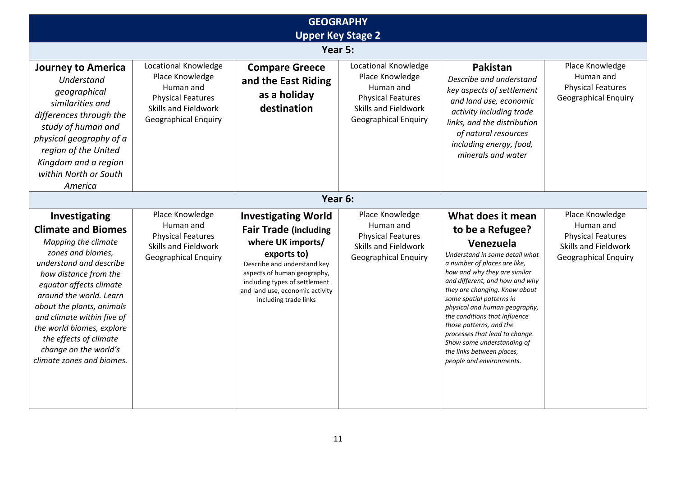| <b>GEOGRAPHY</b><br><b>Upper Key Stage 2</b>                                                                                                                                                                                                                                                                                                                             |                                                                                                                                         |                                                                                                                                                                                                                                                           |                                                                                                                                                |                                                                                                                                                                                                                                                                                                                                                                                                                                                                           |                                                                                                                 |
|--------------------------------------------------------------------------------------------------------------------------------------------------------------------------------------------------------------------------------------------------------------------------------------------------------------------------------------------------------------------------|-----------------------------------------------------------------------------------------------------------------------------------------|-----------------------------------------------------------------------------------------------------------------------------------------------------------------------------------------------------------------------------------------------------------|------------------------------------------------------------------------------------------------------------------------------------------------|---------------------------------------------------------------------------------------------------------------------------------------------------------------------------------------------------------------------------------------------------------------------------------------------------------------------------------------------------------------------------------------------------------------------------------------------------------------------------|-----------------------------------------------------------------------------------------------------------------|
|                                                                                                                                                                                                                                                                                                                                                                          |                                                                                                                                         |                                                                                                                                                                                                                                                           | Year 5:                                                                                                                                        |                                                                                                                                                                                                                                                                                                                                                                                                                                                                           |                                                                                                                 |
| <b>Journey to America</b><br>Understand<br>geographical<br>similarities and<br>differences through the<br>study of human and<br>physical geography of a<br>region of the United<br>Kingdom and a region<br>within North or South<br>America                                                                                                                              | Locational Knowledge<br>Place Knowledge<br>Human and<br><b>Physical Features</b><br>Skills and Fieldwork<br><b>Geographical Enquiry</b> | <b>Compare Greece</b><br>and the East Riding<br>as a holiday<br>destination                                                                                                                                                                               | Locational Knowledge<br>Place Knowledge<br>Human and<br><b>Physical Features</b><br><b>Skills and Fieldwork</b><br><b>Geographical Enquiry</b> | Pakistan<br>Describe and understand<br>key aspects of settlement<br>and land use, economic<br>activity including trade<br>links, and the distribution<br>of natural resources<br>including energy, food,<br>minerals and water                                                                                                                                                                                                                                            | Place Knowledge<br>Human and<br><b>Physical Features</b><br><b>Geographical Enquiry</b>                         |
|                                                                                                                                                                                                                                                                                                                                                                          |                                                                                                                                         |                                                                                                                                                                                                                                                           | Year 6:                                                                                                                                        |                                                                                                                                                                                                                                                                                                                                                                                                                                                                           |                                                                                                                 |
| Investigating<br><b>Climate and Biomes</b><br>Mapping the climate<br>zones and biomes,<br>understand and describe<br>how distance from the<br>equator affects climate<br>around the world. Learn<br>about the plants, animals<br>and climate within five of<br>the world biomes, explore<br>the effects of climate<br>change on the world's<br>climate zones and biomes. | Place Knowledge<br>Human and<br><b>Physical Features</b><br><b>Skills and Fieldwork</b><br><b>Geographical Enquiry</b>                  | <b>Investigating World</b><br><b>Fair Trade (including</b><br>where UK imports/<br>exports to)<br>Describe and understand key<br>aspects of human geography,<br>including types of settlement<br>and land use, economic activity<br>including trade links | Place Knowledge<br>Human and<br><b>Physical Features</b><br>Skills and Fieldwork<br><b>Geographical Enquiry</b>                                | What does it mean<br>to be a Refugee?<br>Venezuela<br>Understand in some detail what<br>a number of places are like,<br>how and why they are similar<br>and different, and how and why<br>they are changing. Know about<br>some spatial patterns in<br>physical and human geography,<br>the conditions that influence<br>those patterns, and the<br>processes that lead to change.<br>Show some understanding of<br>the links between places,<br>people and environments. | Place Knowledge<br>Human and<br><b>Physical Features</b><br>Skills and Fieldwork<br><b>Geographical Enquiry</b> |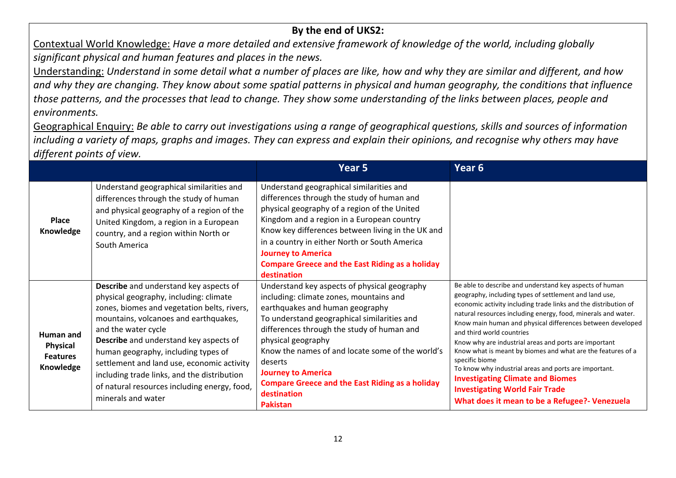## **By the end of UKS2:**

Contextual World Knowledge: *Have a more detailed and extensive framework of knowledge of the world, including globally significant physical and human features and places in the news.*

Understanding: *Understand in some detail what a number of places are like, how and why they are similar and different, and how and why they are changing. They know about some spatial patterns in physical and human geography, the conditions that influence those patterns, and the processes that lead to change. They show some understanding of the links between places, people and environments.*

Geographical Enquiry: *Be able to carry out investigations using a range of geographical questions, skills and sources of information including a variety of maps, graphs and images. They can express and explain their opinions, and recognise why others may have different points of view.*

|                                                       |                                                                                                                                                                                                                                                                                                                                                                                                                                                                   | Year 5                                                                                                                                                                                                                                                                                                                                                                                                                                | Year 6                                                                                                                                                                                                                                                                                                                                                                                                                                                                                                                                                                                                                                                                                   |
|-------------------------------------------------------|-------------------------------------------------------------------------------------------------------------------------------------------------------------------------------------------------------------------------------------------------------------------------------------------------------------------------------------------------------------------------------------------------------------------------------------------------------------------|---------------------------------------------------------------------------------------------------------------------------------------------------------------------------------------------------------------------------------------------------------------------------------------------------------------------------------------------------------------------------------------------------------------------------------------|------------------------------------------------------------------------------------------------------------------------------------------------------------------------------------------------------------------------------------------------------------------------------------------------------------------------------------------------------------------------------------------------------------------------------------------------------------------------------------------------------------------------------------------------------------------------------------------------------------------------------------------------------------------------------------------|
| Place<br>Knowledge                                    | Understand geographical similarities and<br>differences through the study of human<br>and physical geography of a region of the<br>United Kingdom, a region in a European<br>country, and a region within North or<br>South America                                                                                                                                                                                                                               | Understand geographical similarities and<br>differences through the study of human and<br>physical geography of a region of the United<br>Kingdom and a region in a European country<br>Know key differences between living in the UK and<br>in a country in either North or South America<br><b>Journey to America</b><br><b>Compare Greece and the East Riding as a holiday</b><br>destination                                      |                                                                                                                                                                                                                                                                                                                                                                                                                                                                                                                                                                                                                                                                                          |
| Human and<br>Physical<br><b>Features</b><br>Knowledge | <b>Describe</b> and understand key aspects of<br>physical geography, including: climate<br>zones, biomes and vegetation belts, rivers,<br>mountains, volcanoes and earthquakes,<br>and the water cycle<br><b>Describe</b> and understand key aspects of<br>human geography, including types of<br>settlement and land use, economic activity<br>including trade links, and the distribution<br>of natural resources including energy, food,<br>minerals and water | Understand key aspects of physical geography<br>including: climate zones, mountains and<br>earthquakes and human geography<br>To understand geographical similarities and<br>differences through the study of human and<br>physical geography<br>Know the names of and locate some of the world's<br>deserts<br><b>Journey to America</b><br><b>Compare Greece and the East Riding as a holiday</b><br>destination<br><b>Pakistan</b> | Be able to describe and understand key aspects of human<br>geography, including types of settlement and land use,<br>economic activity including trade links and the distribution of<br>natural resources including energy, food, minerals and water.<br>Know main human and physical differences between developed<br>and third world countries<br>Know why are industrial areas and ports are important<br>Know what is meant by biomes and what are the features of a<br>specific biome<br>To know why industrial areas and ports are important.<br><b>Investigating Climate and Biomes</b><br><b>Investigating World Fair Trade</b><br>What does it mean to be a Refugee?- Venezuela |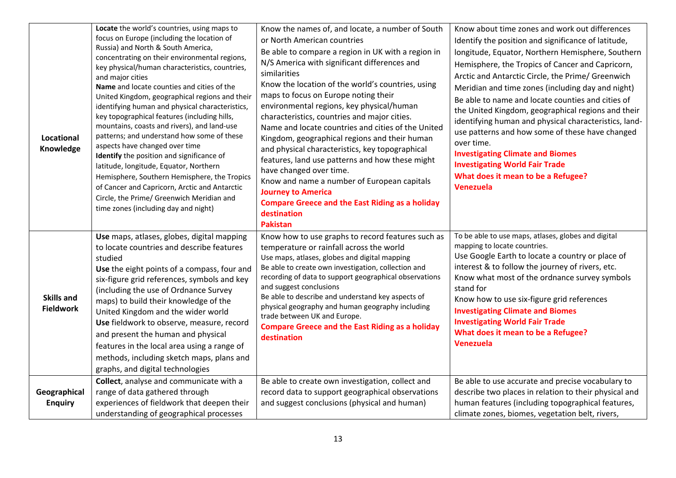| Locational<br>Knowledge               | Locate the world's countries, using maps to<br>focus on Europe (including the location of<br>Russia) and North & South America,<br>concentrating on their environmental regions,<br>key physical/human characteristics, countries,<br>and major cities<br>Name and locate counties and cities of the<br>United Kingdom, geographical regions and their<br>identifying human and physical characteristics,<br>key topographical features (including hills,<br>mountains, coasts and rivers), and land-use<br>patterns; and understand how some of these<br>aspects have changed over time<br>Identify the position and significance of<br>latitude, longitude, Equator, Northern<br>Hemisphere, Southern Hemisphere, the Tropics<br>of Cancer and Capricorn, Arctic and Antarctic<br>Circle, the Prime/ Greenwich Meridian and<br>time zones (including day and night) | Know the names of, and locate, a number of South<br>or North American countries<br>Be able to compare a region in UK with a region in<br>N/S America with significant differences and<br>similarities<br>Know the location of the world's countries, using<br>maps to focus on Europe noting their<br>environmental regions, key physical/human<br>characteristics, countries and major cities.<br>Name and locate countries and cities of the United<br>Kingdom, geographical regions and their human<br>and physical characteristics, key topographical<br>features, land use patterns and how these might<br>have changed over time.<br>Know and name a number of European capitals<br><b>Journey to America</b><br><b>Compare Greece and the East Riding as a holiday</b><br>destination | Know about time zones and work out differences<br>Identify the position and significance of latitude,<br>longitude, Equator, Northern Hemisphere, Southern<br>Hemisphere, the Tropics of Cancer and Capricorn,<br>Arctic and Antarctic Circle, the Prime/ Greenwich<br>Meridian and time zones (including day and night)<br>Be able to name and locate counties and cities of<br>the United Kingdom, geographical regions and their<br>identifying human and physical characteristics, land-<br>use patterns and how some of these have changed<br>over time.<br><b>Investigating Climate and Biomes</b><br><b>Investigating World Fair Trade</b><br>What does it mean to be a Refugee?<br>Venezuela |
|---------------------------------------|-----------------------------------------------------------------------------------------------------------------------------------------------------------------------------------------------------------------------------------------------------------------------------------------------------------------------------------------------------------------------------------------------------------------------------------------------------------------------------------------------------------------------------------------------------------------------------------------------------------------------------------------------------------------------------------------------------------------------------------------------------------------------------------------------------------------------------------------------------------------------|----------------------------------------------------------------------------------------------------------------------------------------------------------------------------------------------------------------------------------------------------------------------------------------------------------------------------------------------------------------------------------------------------------------------------------------------------------------------------------------------------------------------------------------------------------------------------------------------------------------------------------------------------------------------------------------------------------------------------------------------------------------------------------------------|------------------------------------------------------------------------------------------------------------------------------------------------------------------------------------------------------------------------------------------------------------------------------------------------------------------------------------------------------------------------------------------------------------------------------------------------------------------------------------------------------------------------------------------------------------------------------------------------------------------------------------------------------------------------------------------------------|
| <b>Skills and</b><br><b>Fieldwork</b> | Use maps, atlases, globes, digital mapping<br>to locate countries and describe features<br>studied<br>Use the eight points of a compass, four and<br>six-figure grid references, symbols and key<br>(including the use of Ordnance Survey<br>maps) to build their knowledge of the<br>United Kingdom and the wider world<br>Use fieldwork to observe, measure, record<br>and present the human and physical<br>features in the local area using a range of<br>methods, including sketch maps, plans and<br>graphs, and digital technologies                                                                                                                                                                                                                                                                                                                           | <b>Pakistan</b><br>Know how to use graphs to record features such as<br>temperature or rainfall across the world<br>Use maps, atlases, globes and digital mapping<br>Be able to create own investigation, collection and<br>recording of data to support geographical observations<br>and suggest conclusions<br>Be able to describe and understand key aspects of<br>physical geography and human geography including<br>trade between UK and Europe.<br><b>Compare Greece and the East Riding as a holiday</b><br>destination                                                                                                                                                                                                                                                              | To be able to use maps, atlases, globes and digital<br>mapping to locate countries.<br>Use Google Earth to locate a country or place of<br>interest & to follow the journey of rivers, etc.<br>Know what most of the ordnance survey symbols<br>stand for<br>Know how to use six-figure grid references<br><b>Investigating Climate and Biomes</b><br><b>Investigating World Fair Trade</b><br>What does it mean to be a Refugee?<br><b>Venezuela</b>                                                                                                                                                                                                                                                |
| Geographical<br><b>Enquiry</b>        | Collect, analyse and communicate with a<br>range of data gathered through<br>experiences of fieldwork that deepen their<br>understanding of geographical processes                                                                                                                                                                                                                                                                                                                                                                                                                                                                                                                                                                                                                                                                                                    | Be able to create own investigation, collect and<br>record data to support geographical observations<br>and suggest conclusions (physical and human)                                                                                                                                                                                                                                                                                                                                                                                                                                                                                                                                                                                                                                         | Be able to use accurate and precise vocabulary to<br>describe two places in relation to their physical and<br>human features (including topographical features,<br>climate zones, biomes, vegetation belt, rivers,                                                                                                                                                                                                                                                                                                                                                                                                                                                                                   |